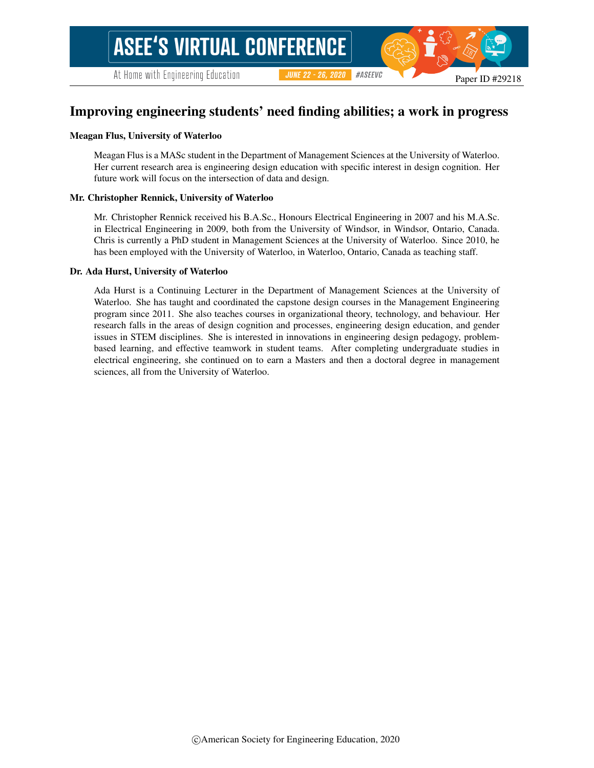#### Paper ID #29218

#ASEEVC

# Improving engineering students' need finding abilities; a work in progress

**JUNE 22 - 26, 2020** 

#### Meagan Flus, University of Waterloo

Meagan Flus is a MASc student in the Department of Management Sciences at the University of Waterloo. Her current research area is engineering design education with specific interest in design cognition. Her future work will focus on the intersection of data and design.

#### Mr. Christopher Rennick, University of Waterloo

Mr. Christopher Rennick received his B.A.Sc., Honours Electrical Engineering in 2007 and his M.A.Sc. in Electrical Engineering in 2009, both from the University of Windsor, in Windsor, Ontario, Canada. Chris is currently a PhD student in Management Sciences at the University of Waterloo. Since 2010, he has been employed with the University of Waterloo, in Waterloo, Ontario, Canada as teaching staff.

#### Dr. Ada Hurst, University of Waterloo

Ada Hurst is a Continuing Lecturer in the Department of Management Sciences at the University of Waterloo. She has taught and coordinated the capstone design courses in the Management Engineering program since 2011. She also teaches courses in organizational theory, technology, and behaviour. Her research falls in the areas of design cognition and processes, engineering design education, and gender issues in STEM disciplines. She is interested in innovations in engineering design pedagogy, problembased learning, and effective teamwork in student teams. After completing undergraduate studies in electrical engineering, she continued on to earn a Masters and then a doctoral degree in management sciences, all from the University of Waterloo.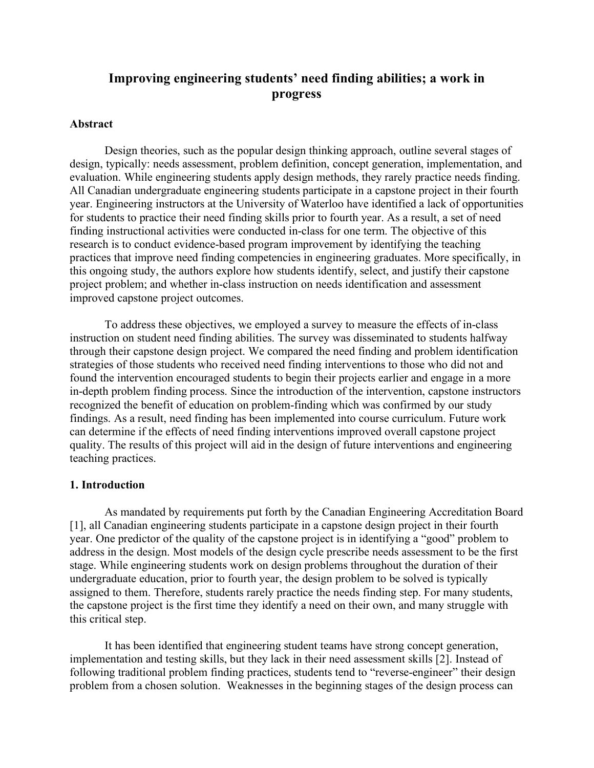# **Improving engineering students' need finding abilities; a work in progress**

## **Abstract**

Design theories, such as the popular design thinking approach, outline several stages of design, typically: needs assessment, problem definition, concept generation, implementation, and evaluation. While engineering students apply design methods, they rarely practice needs finding. All Canadian undergraduate engineering students participate in a capstone project in their fourth year. Engineering instructors at the University of Waterloo have identified a lack of opportunities for students to practice their need finding skills prior to fourth year. As a result, a set of need finding instructional activities were conducted in-class for one term. The objective of this research is to conduct evidence-based program improvement by identifying the teaching practices that improve need finding competencies in engineering graduates. More specifically, in this ongoing study, the authors explore how students identify, select, and justify their capstone project problem; and whether in-class instruction on needs identification and assessment improved capstone project outcomes.

To address these objectives, we employed a survey to measure the effects of in-class instruction on student need finding abilities. The survey was disseminated to students halfway through their capstone design project. We compared the need finding and problem identification strategies of those students who received need finding interventions to those who did not and found the intervention encouraged students to begin their projects earlier and engage in a more in-depth problem finding process. Since the introduction of the intervention, capstone instructors recognized the benefit of education on problem-finding which was confirmed by our study findings. As a result, need finding has been implemented into course curriculum. Future work can determine if the effects of need finding interventions improved overall capstone project quality. The results of this project will aid in the design of future interventions and engineering teaching practices.

### **1. Introduction**

As mandated by requirements put forth by the Canadian Engineering Accreditation Board [1], all Canadian engineering students participate in a capstone design project in their fourth year. One predictor of the quality of the capstone project is in identifying a "good" problem to address in the design. Most models of the design cycle prescribe needs assessment to be the first stage. While engineering students work on design problems throughout the duration of their undergraduate education, prior to fourth year, the design problem to be solved is typically assigned to them. Therefore, students rarely practice the needs finding step. For many students, the capstone project is the first time they identify a need on their own, and many struggle with this critical step.

It has been identified that engineering student teams have strong concept generation, implementation and testing skills, but they lack in their need assessment skills [2]. Instead of following traditional problem finding practices, students tend to "reverse-engineer" their design problem from a chosen solution. Weaknesses in the beginning stages of the design process can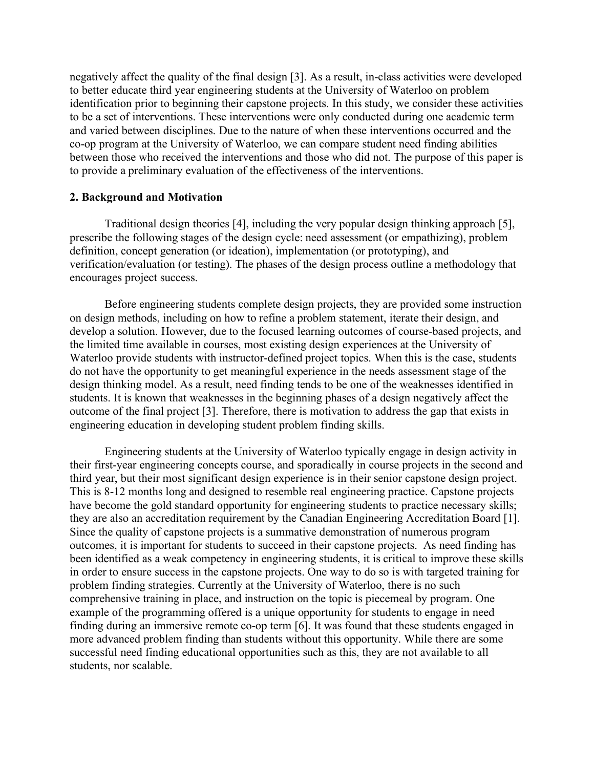negatively affect the quality of the final design [3]. As a result, in-class activities were developed to better educate third year engineering students at the University of Waterloo on problem identification prior to beginning their capstone projects. In this study, we consider these activities to be a set of interventions. These interventions were only conducted during one academic term and varied between disciplines. Due to the nature of when these interventions occurred and the co-op program at the University of Waterloo, we can compare student need finding abilities between those who received the interventions and those who did not. The purpose of this paper is to provide a preliminary evaluation of the effectiveness of the interventions.

## **2. Background and Motivation**

Traditional design theories [4], including the very popular design thinking approach [5], prescribe the following stages of the design cycle: need assessment (or empathizing), problem definition, concept generation (or ideation), implementation (or prototyping), and verification/evaluation (or testing). The phases of the design process outline a methodology that encourages project success.

Before engineering students complete design projects, they are provided some instruction on design methods, including on how to refine a problem statement, iterate their design, and develop a solution. However, due to the focused learning outcomes of course-based projects, and the limited time available in courses, most existing design experiences at the University of Waterloo provide students with instructor-defined project topics. When this is the case, students do not have the opportunity to get meaningful experience in the needs assessment stage of the design thinking model. As a result, need finding tends to be one of the weaknesses identified in students. It is known that weaknesses in the beginning phases of a design negatively affect the outcome of the final project [3]. Therefore, there is motivation to address the gap that exists in engineering education in developing student problem finding skills.

Engineering students at the University of Waterloo typically engage in design activity in their first-year engineering concepts course, and sporadically in course projects in the second and third year, but their most significant design experience is in their senior capstone design project. This is 8-12 months long and designed to resemble real engineering practice. Capstone projects have become the gold standard opportunity for engineering students to practice necessary skills; they are also an accreditation requirement by the Canadian Engineering Accreditation Board [1]. Since the quality of capstone projects is a summative demonstration of numerous program outcomes, it is important for students to succeed in their capstone projects. As need finding has been identified as a weak competency in engineering students, it is critical to improve these skills in order to ensure success in the capstone projects. One way to do so is with targeted training for problem finding strategies. Currently at the University of Waterloo, there is no such comprehensive training in place, and instruction on the topic is piecemeal by program. One example of the programming offered is a unique opportunity for students to engage in need finding during an immersive remote co-op term [6]. It was found that these students engaged in more advanced problem finding than students without this opportunity. While there are some successful need finding educational opportunities such as this, they are not available to all students, nor scalable.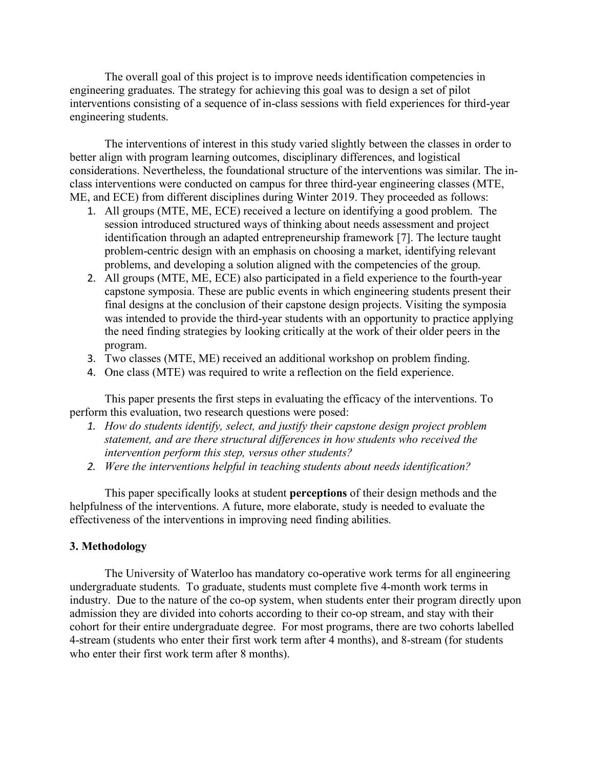The overall goal of this project is to improve needs identification competencies in engineering graduates. The strategy for achieving this goal was to design a set of pilot interventions consisting of a sequence of in-class sessions with field experiences for third-year engineering students.

The interventions of interest in this study varied slightly between the classes in order to better align with program learning outcomes, disciplinary differences, and logistical considerations. Nevertheless, the foundational structure of the interventions was similar. The inclass interventions were conducted on campus for three third-year engineering classes (MTE, ME, and ECE) from different disciplines during Winter 2019. They proceeded as follows:

- 1. All groups (MTE, ME, ECE) received a lecture on identifying a good problem. The session introduced structured ways of thinking about needs assessment and project identification through an adapted entrepreneurship framework [7]. The lecture taught problem-centric design with an emphasis on choosing a market, identifying relevant problems, and developing a solution aligned with the competencies of the group.
- 2. All groups (MTE, ME, ECE) also participated in a field experience to the fourth-year capstone symposia. These are public events in which engineering students present their final designs at the conclusion of their capstone design projects. Visiting the symposia was intended to provide the third-year students with an opportunity to practice applying the need finding strategies by looking critically at the work of their older peers in the program.
- 3. Two classes (MTE, ME) received an additional workshop on problem finding.
- 4. One class (MTE) was required to write a reflection on the field experience.

This paper presents the first steps in evaluating the efficacy of the interventions. To perform this evaluation, two research questions were posed:

- *1. How do students identify, select, and justify their capstone design project problem statement, and are there structural differences in how students who received the intervention perform this step, versus other students?*
- *2. Were the interventions helpful in teaching students about needs identification?*

This paper specifically looks at student **perceptions** of their design methods and the helpfulness of the interventions. A future, more elaborate, study is needed to evaluate the effectiveness of the interventions in improving need finding abilities.

### **3. Methodology**

The University of Waterloo has mandatory co-operative work terms for all engineering undergraduate students. To graduate, students must complete five 4-month work terms in industry. Due to the nature of the co-op system, when students enter their program directly upon admission they are divided into cohorts according to their co-op stream, and stay with their cohort for their entire undergraduate degree. For most programs, there are two cohorts labelled 4-stream (students who enter their first work term after 4 months), and 8-stream (for students who enter their first work term after 8 months).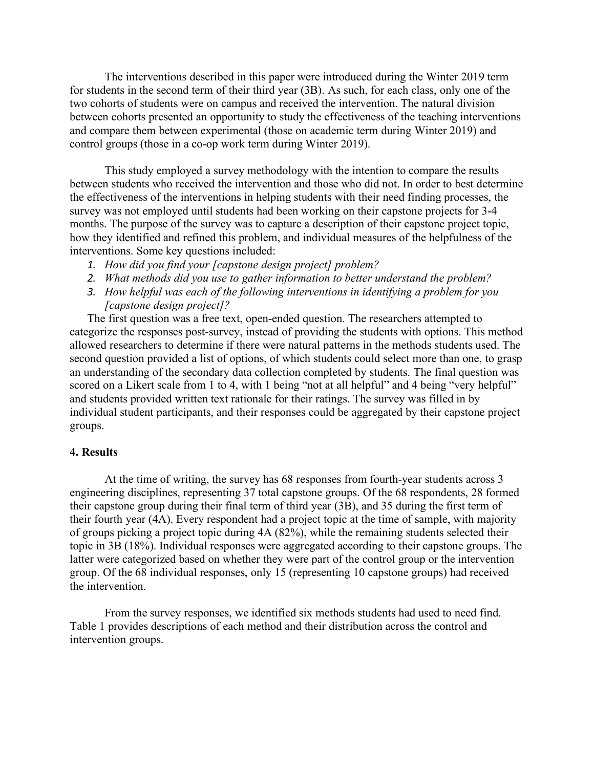The interventions described in this paper were introduced during the Winter 2019 term for students in the second term of their third year (3B). As such, for each class, only one of the two cohorts of students were on campus and received the intervention. The natural division between cohorts presented an opportunity to study the effectiveness of the teaching interventions and compare them between experimental (those on academic term during Winter 2019) and control groups (those in a co-op work term during Winter 2019).

This study employed a survey methodology with the intention to compare the results between students who received the intervention and those who did not. In order to best determine the effectiveness of the interventions in helping students with their need finding processes, the survey was not employed until students had been working on their capstone projects for 3-4 months. The purpose of the survey was to capture a description of their capstone project topic, how they identified and refined this problem, and individual measures of the helpfulness of the interventions. Some key questions included:

- *1. How did you find your [capstone design project] problem?*
- *2. What methods did you use to gather information to better understand the problem?*
- *3. How helpful was each of the following interventions in identifying a problem for you [capstone design project]?*

The first question was a free text, open-ended question. The researchers attempted to categorize the responses post-survey, instead of providing the students with options. This method allowed researchers to determine if there were natural patterns in the methods students used. The second question provided a list of options, of which students could select more than one, to grasp an understanding of the secondary data collection completed by students. The final question was scored on a Likert scale from 1 to 4, with 1 being "not at all helpful" and 4 being "very helpful" and students provided written text rationale for their ratings. The survey was filled in by individual student participants, and their responses could be aggregated by their capstone project groups.

#### **4. Results**

At the time of writing, the survey has 68 responses from fourth-year students across 3 engineering disciplines, representing 37 total capstone groups. Of the 68 respondents, 28 formed their capstone group during their final term of third year (3B), and 35 during the first term of their fourth year (4A). Every respondent had a project topic at the time of sample, with majority of groups picking a project topic during 4A (82%), while the remaining students selected their topic in 3B (18%). Individual responses were aggregated according to their capstone groups. The latter were categorized based on whether they were part of the control group or the intervention group. Of the 68 individual responses, only 15 (representing 10 capstone groups) had received the intervention.

From the survey responses, we identified six methods students had used to need find. Table 1 provides descriptions of each method and their distribution across the control and intervention groups.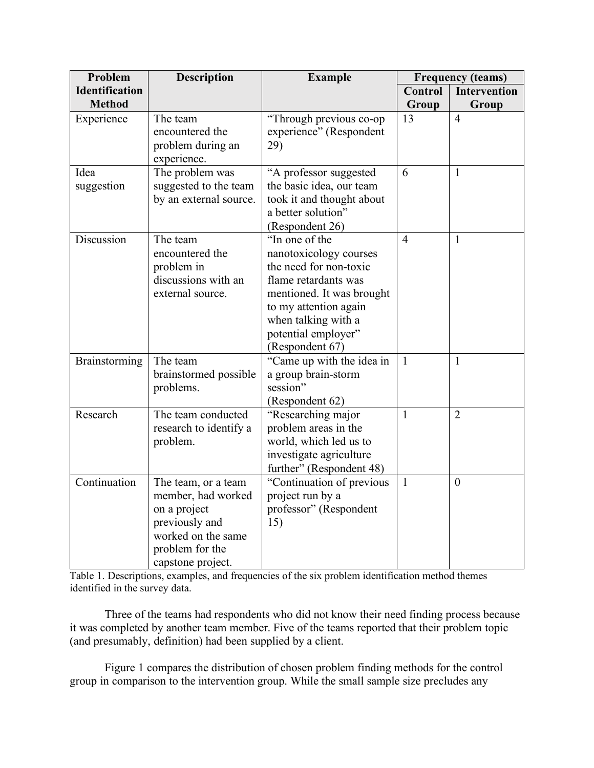| Problem                                | <b>Description</b>                                                                                                                        | <b>Example</b>                                                                                                                                                                                                    | <b>Frequency (teams)</b> |                              |
|----------------------------------------|-------------------------------------------------------------------------------------------------------------------------------------------|-------------------------------------------------------------------------------------------------------------------------------------------------------------------------------------------------------------------|--------------------------|------------------------------|
| <b>Identification</b><br><b>Method</b> |                                                                                                                                           |                                                                                                                                                                                                                   | Control<br>Group         | <b>Intervention</b><br>Group |
| Experience                             | The team<br>encountered the<br>problem during an<br>experience.                                                                           | "Through previous co-op<br>experience" (Respondent<br>29)                                                                                                                                                         | 13                       | $\overline{4}$               |
| Idea<br>suggestion                     | The problem was<br>suggested to the team<br>by an external source.                                                                        | "A professor suggested<br>the basic idea, our team<br>took it and thought about<br>a better solution"<br>(Respondent 26)                                                                                          | 6                        | $\mathbf{1}$                 |
| Discussion                             | The team<br>encountered the<br>problem in<br>discussions with an<br>external source.                                                      | "In one of the<br>nanotoxicology courses<br>the need for non-toxic<br>flame retardants was<br>mentioned. It was brought<br>to my attention again<br>when talking with a<br>potential employer"<br>(Respondent 67) | $\overline{4}$           | $\mathbf{1}$                 |
| Brainstorming                          | The team<br>brainstormed possible<br>problems.                                                                                            | "Came up with the idea in<br>a group brain-storm<br>session"<br>(Respondent 62)                                                                                                                                   | $\mathbf{1}$             | $\mathbf{1}$                 |
| Research                               | The team conducted<br>research to identify a<br>problem.                                                                                  | "Researching major<br>problem areas in the<br>world, which led us to<br>investigate agriculture<br>further" (Respondent 48)                                                                                       | $\mathbf{1}$             | $\overline{2}$               |
| Continuation                           | The team, or a team<br>member, had worked<br>on a project<br>previously and<br>worked on the same<br>problem for the<br>capstone project. | "Continuation of previous<br>project run by a<br>professor" (Respondent<br>15)                                                                                                                                    | $\mathbf{1}$             | $\theta$                     |

Table 1. Descriptions, examples, and frequencies of the six problem identification method themes identified in the survey data.

Three of the teams had respondents who did not know their need finding process because it was completed by another team member. Five of the teams reported that their problem topic (and presumably, definition) had been supplied by a client.

Figure 1 compares the distribution of chosen problem finding methods for the control group in comparison to the intervention group. While the small sample size precludes any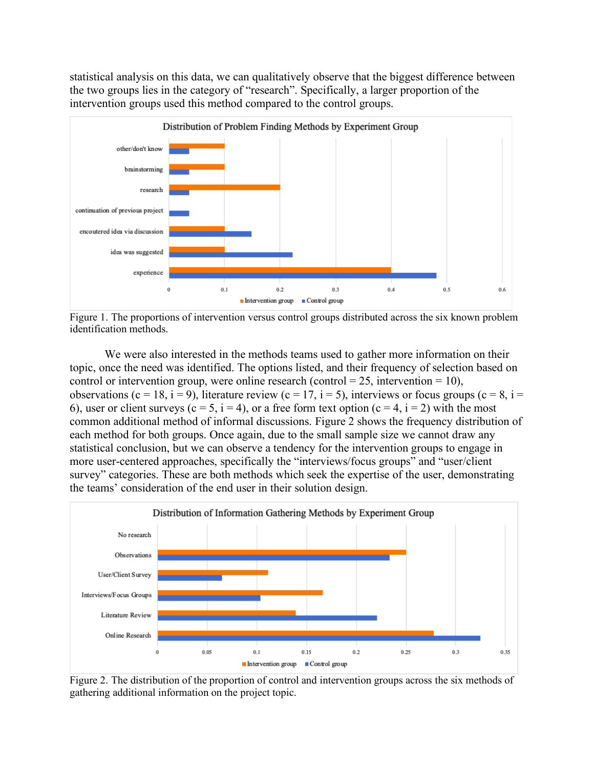statistical analysis on this data, we can qualitatively observe that the biggest difference between the two groups lies in the category of "research". Specifically, a larger proportion of the intervention groups used this method compared to the control groups.



Figure 1. The proportions of intervention versus control groups distributed across the six known problem identification methods.

We were also interested in the methods teams used to gather more information on their topic, once the need was identified. The options listed, and their frequency of selection based on control or intervention group, were online research (control  $= 25$ , intervention  $= 10$ ), observations (c = 18, i = 9), literature review (c = 17, i = 5), interviews or focus groups (c = 8, i = 6), user or client surveys (c = 5, i = 4), or a free form text option (c = 4, i = 2) with the most common additional method of informal discussions. Figure 2 shows the frequency distribution of each method for both groups. Once again, due to the small sample size we cannot draw any statistical conclusion, but we can observe a tendency for the intervention groups to engage in more user-centered approaches, specifically the "interviews/focus groups" and "user/client survey" categories. These are both methods which seek the expertise of the user, demonstrating the teams' consideration of the end user in their solution design.



Figure 2. The distribution of the proportion of control and intervention groups across the six methods of gathering additional information on the project topic.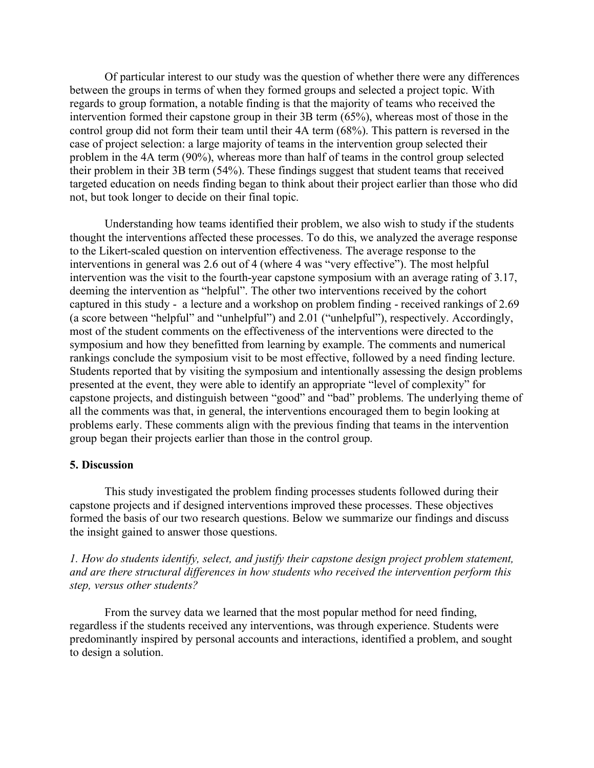Of particular interest to our study was the question of whether there were any differences between the groups in terms of when they formed groups and selected a project topic. With regards to group formation, a notable finding is that the majority of teams who received the intervention formed their capstone group in their 3B term (65%), whereas most of those in the control group did not form their team until their 4A term (68%). This pattern is reversed in the case of project selection: a large majority of teams in the intervention group selected their problem in the 4A term (90%), whereas more than half of teams in the control group selected their problem in their 3B term (54%). These findings suggest that student teams that received targeted education on needs finding began to think about their project earlier than those who did not, but took longer to decide on their final topic.

Understanding how teams identified their problem, we also wish to study if the students thought the interventions affected these processes. To do this, we analyzed the average response to the Likert-scaled question on intervention effectiveness. The average response to the interventions in general was 2.6 out of 4 (where 4 was "very effective"). The most helpful intervention was the visit to the fourth-year capstone symposium with an average rating of 3.17, deeming the intervention as "helpful". The other two interventions received by the cohort captured in this study - a lecture and a workshop on problem finding - received rankings of 2.69 (a score between "helpful" and "unhelpful") and 2.01 ("unhelpful"), respectively. Accordingly, most of the student comments on the effectiveness of the interventions were directed to the symposium and how they benefitted from learning by example. The comments and numerical rankings conclude the symposium visit to be most effective, followed by a need finding lecture. Students reported that by visiting the symposium and intentionally assessing the design problems presented at the event, they were able to identify an appropriate "level of complexity" for capstone projects, and distinguish between "good" and "bad" problems. The underlying theme of all the comments was that, in general, the interventions encouraged them to begin looking at problems early. These comments align with the previous finding that teams in the intervention group began their projects earlier than those in the control group.

### **5. Discussion**

This study investigated the problem finding processes students followed during their capstone projects and if designed interventions improved these processes. These objectives formed the basis of our two research questions. Below we summarize our findings and discuss the insight gained to answer those questions.

*1. How do students identify, select, and justify their capstone design project problem statement, and are there structural differences in how students who received the intervention perform this step, versus other students?*

From the survey data we learned that the most popular method for need finding, regardless if the students received any interventions, was through experience. Students were predominantly inspired by personal accounts and interactions, identified a problem, and sought to design a solution.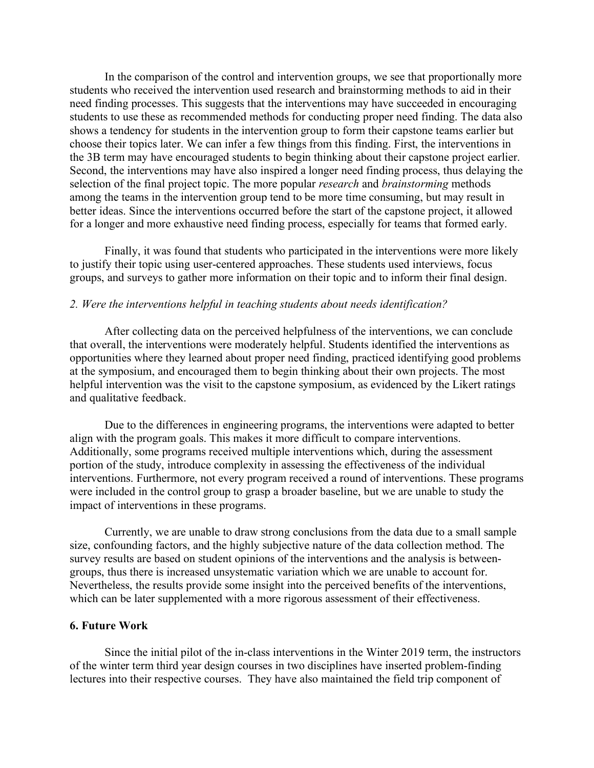In the comparison of the control and intervention groups, we see that proportionally more students who received the intervention used research and brainstorming methods to aid in their need finding processes. This suggests that the interventions may have succeeded in encouraging students to use these as recommended methods for conducting proper need finding. The data also shows a tendency for students in the intervention group to form their capstone teams earlier but choose their topics later. We can infer a few things from this finding. First, the interventions in the 3B term may have encouraged students to begin thinking about their capstone project earlier. Second, the interventions may have also inspired a longer need finding process, thus delaying the selection of the final project topic. The more popular *research* and *brainstorming* methods among the teams in the intervention group tend to be more time consuming, but may result in better ideas. Since the interventions occurred before the start of the capstone project, it allowed for a longer and more exhaustive need finding process, especially for teams that formed early.

Finally, it was found that students who participated in the interventions were more likely to justify their topic using user-centered approaches. These students used interviews, focus groups, and surveys to gather more information on their topic and to inform their final design.

## *2. Were the interventions helpful in teaching students about needs identification?*

After collecting data on the perceived helpfulness of the interventions, we can conclude that overall, the interventions were moderately helpful. Students identified the interventions as opportunities where they learned about proper need finding, practiced identifying good problems at the symposium, and encouraged them to begin thinking about their own projects. The most helpful intervention was the visit to the capstone symposium, as evidenced by the Likert ratings and qualitative feedback.

Due to the differences in engineering programs, the interventions were adapted to better align with the program goals. This makes it more difficult to compare interventions. Additionally, some programs received multiple interventions which, during the assessment portion of the study, introduce complexity in assessing the effectiveness of the individual interventions. Furthermore, not every program received a round of interventions. These programs were included in the control group to grasp a broader baseline, but we are unable to study the impact of interventions in these programs.

Currently, we are unable to draw strong conclusions from the data due to a small sample size, confounding factors, and the highly subjective nature of the data collection method. The survey results are based on student opinions of the interventions and the analysis is betweengroups, thus there is increased unsystematic variation which we are unable to account for. Nevertheless, the results provide some insight into the perceived benefits of the interventions, which can be later supplemented with a more rigorous assessment of their effectiveness.

## **6. Future Work**

Since the initial pilot of the in-class interventions in the Winter 2019 term, the instructors of the winter term third year design courses in two disciplines have inserted problem-finding lectures into their respective courses. They have also maintained the field trip component of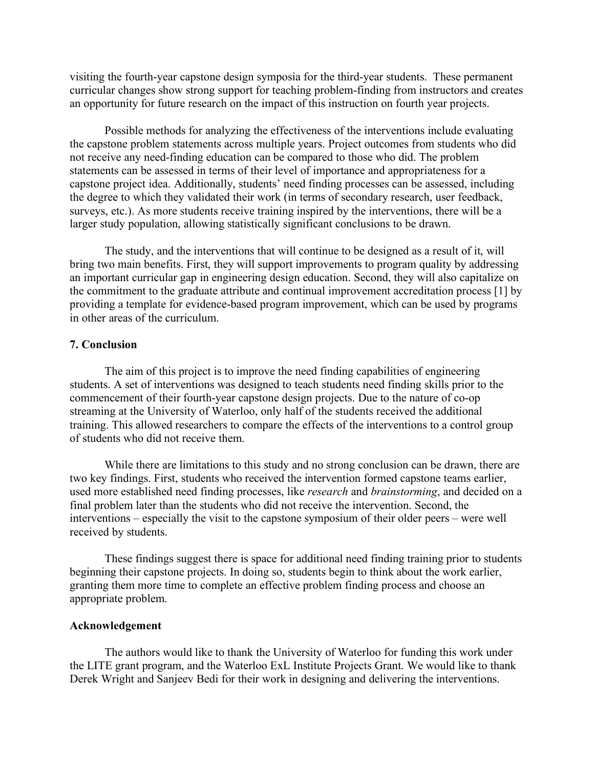visiting the fourth-year capstone design symposia for the third-year students. These permanent curricular changes show strong support for teaching problem-finding from instructors and creates an opportunity for future research on the impact of this instruction on fourth year projects.

Possible methods for analyzing the effectiveness of the interventions include evaluating the capstone problem statements across multiple years. Project outcomes from students who did not receive any need-finding education can be compared to those who did. The problem statements can be assessed in terms of their level of importance and appropriateness for a capstone project idea. Additionally, students' need finding processes can be assessed, including the degree to which they validated their work (in terms of secondary research, user feedback, surveys, etc.). As more students receive training inspired by the interventions, there will be a larger study population, allowing statistically significant conclusions to be drawn.

The study, and the interventions that will continue to be designed as a result of it, will bring two main benefits. First, they will support improvements to program quality by addressing an important curricular gap in engineering design education. Second, they will also capitalize on the commitment to the graduate attribute and continual improvement accreditation process [1] by providing a template for evidence-based program improvement, which can be used by programs in other areas of the curriculum.

### **7. Conclusion**

The aim of this project is to improve the need finding capabilities of engineering students. A set of interventions was designed to teach students need finding skills prior to the commencement of their fourth-year capstone design projects. Due to the nature of co-op streaming at the University of Waterloo, only half of the students received the additional training. This allowed researchers to compare the effects of the interventions to a control group of students who did not receive them.

While there are limitations to this study and no strong conclusion can be drawn, there are two key findings. First, students who received the intervention formed capstone teams earlier, used more established need finding processes, like *research* and *brainstorming*, and decided on a final problem later than the students who did not receive the intervention. Second, the interventions – especially the visit to the capstone symposium of their older peers – were well received by students.

These findings suggest there is space for additional need finding training prior to students beginning their capstone projects. In doing so, students begin to think about the work earlier, granting them more time to complete an effective problem finding process and choose an appropriate problem.

#### **Acknowledgement**

The authors would like to thank the University of Waterloo for funding this work under the LITE grant program, and the Waterloo ExL Institute Projects Grant. We would like to thank Derek Wright and Sanjeev Bedi for their work in designing and delivering the interventions.